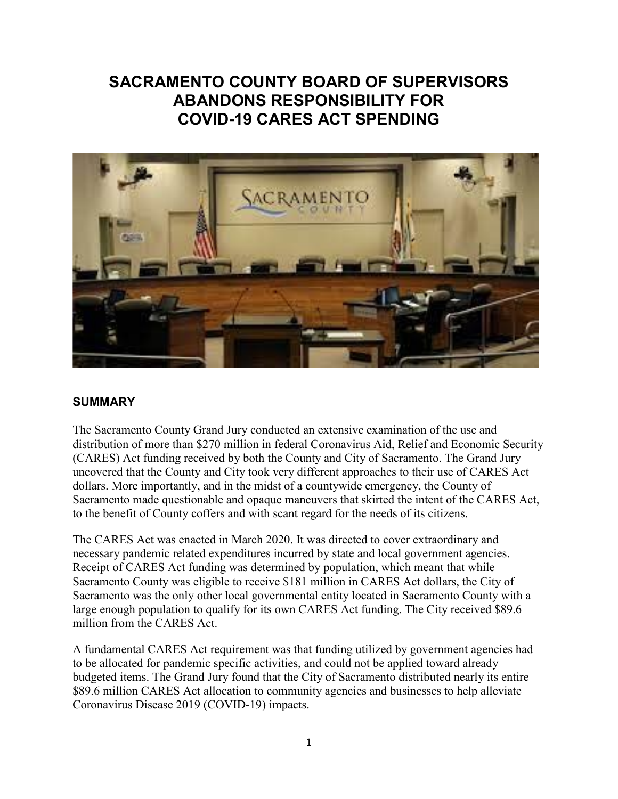# **SACRAMENTO COUNTY BOARD OF SUPERVISORS ABANDONS RESPONSIBILITY FOR COVID-19 CARES ACT SPENDING**



### **SUMMARY**

The Sacramento County Grand Jury conducted an extensive examination of the use and distribution of more than \$270 million in federal Coronavirus Aid, Relief and Economic Security (CARES) Act funding received by both the County and City of Sacramento. The Grand Jury uncovered that the County and City took very different approaches to their use of CARES Act dollars. More importantly, and in the midst of a countywide emergency, the County of Sacramento made questionable and opaque maneuvers that skirted the intent of the CARES Act, to the benefit of County coffers and with scant regard for the needs of its citizens.

The CARES Act was enacted in March 2020. It was directed to cover extraordinary and necessary pandemic related expenditures incurred by state and local government agencies. Receipt of CARES Act funding was determined by population, which meant that while Sacramento County was eligible to receive \$181 million in CARES Act dollars, the City of Sacramento was the only other local governmental entity located in Sacramento County with a large enough population to qualify for its own CARES Act funding. The City received \$89.6 million from the CARES Act.

A fundamental CARES Act requirement was that funding utilized by government agencies had to be allocated for pandemic specific activities, and could not be applied toward already budgeted items. The Grand Jury found that the City of Sacramento distributed nearly its entire \$89.6 million CARES Act allocation to community agencies and businesses to help alleviate Coronavirus Disease 2019 (COVID-19) impacts.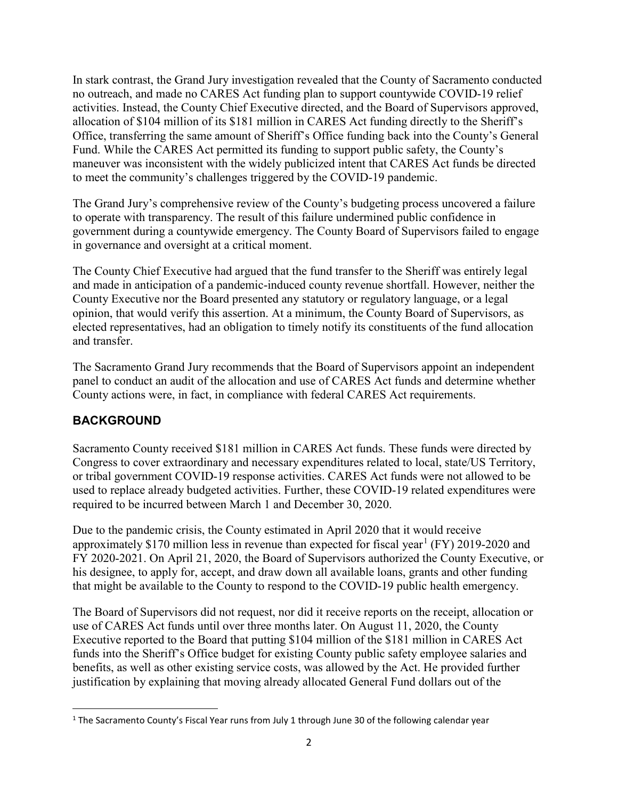In stark contrast, the Grand Jury investigation revealed that the County of Sacramento conducted no outreach, and made no CARES Act funding plan to support countywide COVID-19 relief activities. Instead, the County Chief Executive directed, and the Board of Supervisors approved, allocation of \$104 million of its \$181 million in CARES Act funding directly to the Sheriff's Office, transferring the same amount of Sheriff's Office funding back into the County's General Fund. While the CARES Act permitted its funding to support public safety, the County's maneuver was inconsistent with the widely publicized intent that CARES Act funds be directed to meet the community's challenges triggered by the COVID-19 pandemic.

The Grand Jury's comprehensive review of the County's budgeting process uncovered a failure to operate with transparency. The result of this failure undermined public confidence in government during a countywide emergency. The County Board of Supervisors failed to engage in governance and oversight at a critical moment.

The County Chief Executive had argued that the fund transfer to the Sheriff was entirely legal and made in anticipation of a pandemic-induced county revenue shortfall. However, neither the County Executive nor the Board presented any statutory or regulatory language, or a legal opinion, that would verify this assertion. At a minimum, the County Board of Supervisors, as elected representatives, had an obligation to timely notify its constituents of the fund allocation and transfer.

The Sacramento Grand Jury recommends that the Board of Supervisors appoint an independent panel to conduct an audit of the allocation and use of CARES Act funds and determine whether County actions were, in fact, in compliance with federal CARES Act requirements.

# **BACKGROUND**

Sacramento County received \$181 million in CARES Act funds. These funds were directed by Congress to cover extraordinary and necessary expenditures related to local, state/US Territory, or tribal government COVID-19 response activities. CARES Act funds were not allowed to be used to replace already budgeted activities. Further, these COVID-19 related expenditures were required to be incurred between March 1 and December 30, 2020.

Due to the pandemic crisis, the County estimated in April 2020 that it would receive approximately \$[1](#page-1-0)70 million less in revenue than expected for fiscal year<sup>1</sup> (FY) 2019-2020 and FY 2020-2021. On April 21, 2020, the Board of Supervisors authorized the County Executive, or his designee, to apply for, accept, and draw down all available loans, grants and other funding that might be available to the County to respond to the COVID-19 public health emergency.

The Board of Supervisors did not request, nor did it receive reports on the receipt, allocation or use of CARES Act funds until over three months later. On August 11, 2020, the County Executive reported to the Board that putting \$104 million of the \$181 million in CARES Act funds into the Sheriff's Office budget for existing County public safety employee salaries and benefits, as well as other existing service costs, was allowed by the Act. He provided further justification by explaining that moving already allocated General Fund dollars out of the

<span id="page-1-0"></span><sup>&</sup>lt;sup>1</sup> The Sacramento County's Fiscal Year runs from July 1 through June 30 of the following calendar year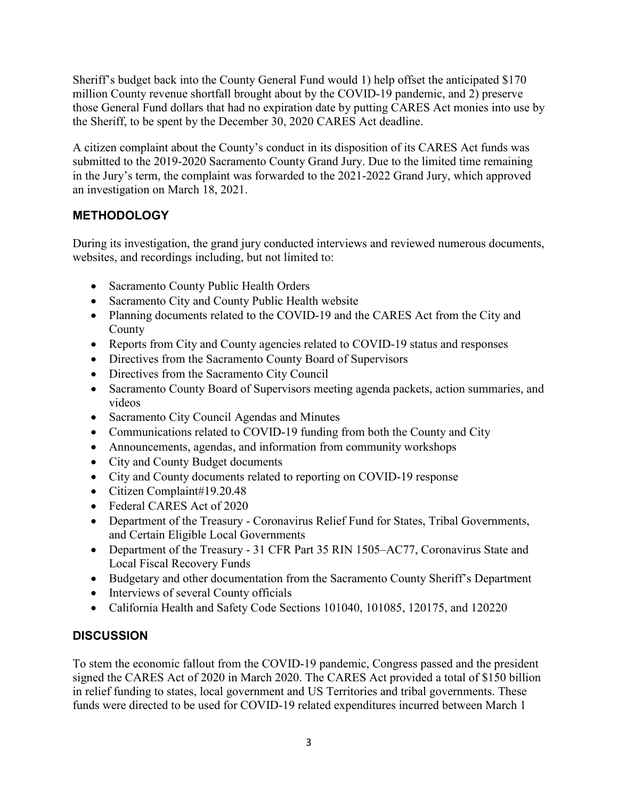Sheriff's budget back into the County General Fund would 1) help offset the anticipated \$170 million County revenue shortfall brought about by the COVID-19 pandemic, and 2) preserve those General Fund dollars that had no expiration date by putting CARES Act monies into use by the Sheriff, to be spent by the December 30, 2020 CARES Act deadline.

A citizen complaint about the County's conduct in its disposition of its CARES Act funds was submitted to the 2019-2020 Sacramento County Grand Jury. Due to the limited time remaining in the Jury's term, the complaint was forwarded to the 2021-2022 Grand Jury, which approved an investigation on March 18, 2021.

# **METHODOLOGY**

During its investigation, the grand jury conducted interviews and reviewed numerous documents, websites, and recordings including, but not limited to:

- Sacramento County Public Health Orders
- Sacramento City and County Public Health website
- Planning documents related to the COVID-19 and the CARES Act from the City and County
- Reports from City and County agencies related to COVID-19 status and responses
- Directives from the Sacramento County Board of Supervisors
- Directives from the Sacramento City Council
- Sacramento County Board of Supervisors meeting agenda packets, action summaries, and videos
- Sacramento City Council Agendas and Minutes
- Communications related to COVID-19 funding from both the County and City
- Announcements, agendas, and information from community workshops
- City and County Budget documents
- City and County documents related to reporting on COVID-19 response
- Citizen Complaint#19.20.48
- Federal CARES Act of 2020
- Department of the Treasury Coronavirus Relief Fund for States, Tribal Governments, and Certain Eligible Local Governments
- Department of the Treasury 31 CFR Part 35 RIN 1505–AC77, Coronavirus State and Local Fiscal Recovery Funds
- Budgetary and other documentation from the Sacramento County Sheriff's Department
- Interviews of several County officials
- California Health and Safety Code Sections 101040, 101085, 120175, and 120220

# **DISCUSSION**

To stem the economic fallout from the COVID-19 pandemic, Congress passed and the president signed the CARES Act of 2020 in March 2020. The CARES Act provided a total of \$150 billion in relief funding to states, local government and US Territories and tribal governments. These funds were directed to be used for COVID-19 related expenditures incurred between March 1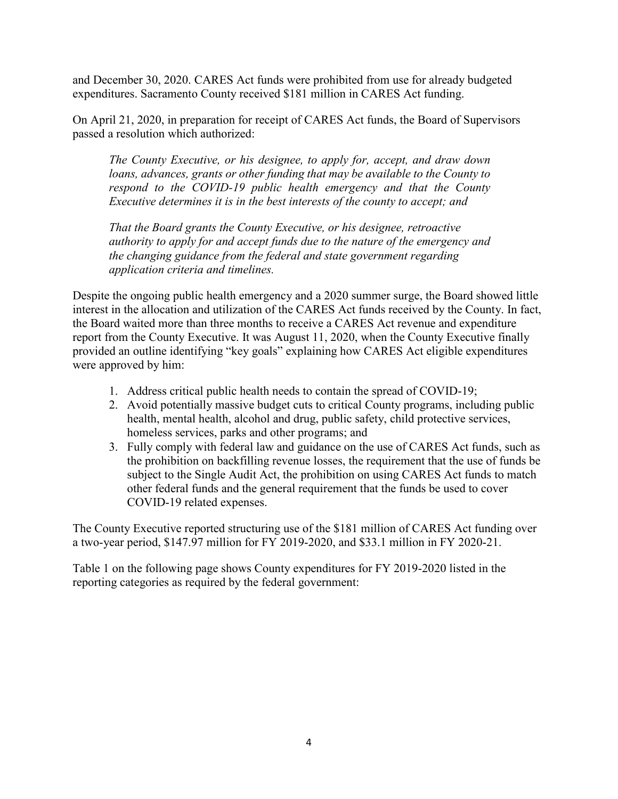and December 30, 2020. CARES Act funds were prohibited from use for already budgeted expenditures. Sacramento County received \$181 million in CARES Act funding.

On April 21, 2020, in preparation for receipt of CARES Act funds, the Board of Supervisors passed a resolution which authorized:

*The County Executive, or his designee, to apply for, accept, and draw down loans, advances, grants or other funding that may be available to the County to respond to the COVID-19 public health emergency and that the County Executive determines it is in the best interests of the county to accept; and* 

*That the Board grants the County Executive, or his designee, retroactive authority to apply for and accept funds due to the nature of the emergency and the changing guidance from the federal and state government regarding application criteria and timelines.*

Despite the ongoing public health emergency and a 2020 summer surge, the Board showed little interest in the allocation and utilization of the CARES Act funds received by the County. In fact, the Board waited more than three months to receive a CARES Act revenue and expenditure report from the County Executive. It was August 11, 2020, when the County Executive finally provided an outline identifying "key goals" explaining how CARES Act eligible expenditures were approved by him:

- 1. Address critical public health needs to contain the spread of COVID-19;
- 2. Avoid potentially massive budget cuts to critical County programs, including public health, mental health, alcohol and drug, public safety, child protective services, homeless services, parks and other programs; and
- 3. Fully comply with federal law and guidance on the use of CARES Act funds, such as the prohibition on backfilling revenue losses, the requirement that the use of funds be subject to the Single Audit Act, the prohibition on using CARES Act funds to match other federal funds and the general requirement that the funds be used to cover COVID-19 related expenses.

The County Executive reported structuring use of the \$181 million of CARES Act funding over a two-year period, \$147.97 million for FY 2019-2020, and \$33.1 million in FY 2020-21.

Table 1 on the following page shows County expenditures for FY 2019-2020 listed in the reporting categories as required by the federal government: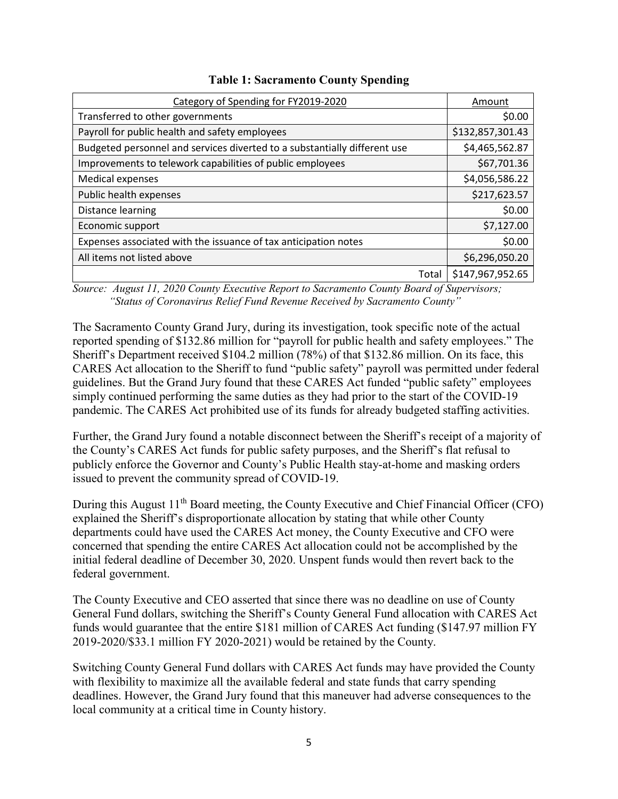| Category of Spending for FY2019-2020                                      | Amount           |
|---------------------------------------------------------------------------|------------------|
| Transferred to other governments                                          | \$0.00           |
| Payroll for public health and safety employees                            | \$132,857,301.43 |
| Budgeted personnel and services diverted to a substantially different use | \$4,465,562.87   |
| Improvements to telework capabilities of public employees                 | \$67,701.36      |
| <b>Medical expenses</b>                                                   | \$4,056,586.22   |
| Public health expenses                                                    | \$217,623.57     |
| Distance learning                                                         | \$0.00           |
| Economic support                                                          | \$7,127.00       |
| Expenses associated with the issuance of tax anticipation notes           | \$0.00           |
| All items not listed above                                                | \$6,296,050.20   |
| Total                                                                     | \$147,967,952.65 |

#### **Table 1: Sacramento County Spending**

*Source: August 11, 2020 County Executive Report to Sacramento County Board of Supervisors; "Status of Coronavirus Relief Fund Revenue Received by Sacramento County"* 

The Sacramento County Grand Jury, during its investigation, took specific note of the actual reported spending of \$132.86 million for "payroll for public health and safety employees." The Sheriff's Department received \$104.2 million (78%) of that \$132.86 million. On its face, this CARES Act allocation to the Sheriff to fund "public safety" payroll was permitted under federal guidelines. But the Grand Jury found that these CARES Act funded "public safety" employees simply continued performing the same duties as they had prior to the start of the COVID-19 pandemic. The CARES Act prohibited use of its funds for already budgeted staffing activities.

Further, the Grand Jury found a notable disconnect between the Sheriff's receipt of a majority of the County's CARES Act funds for public safety purposes, and the Sheriff's flat refusal to publicly enforce the Governor and County's Public Health stay-at-home and masking orders issued to prevent the community spread of COVID-19.

During this August 11<sup>th</sup> Board meeting, the County Executive and Chief Financial Officer (CFO) explained the Sheriff's disproportionate allocation by stating that while other County departments could have used the CARES Act money, the County Executive and CFO were concerned that spending the entire CARES Act allocation could not be accomplished by the initial federal deadline of December 30, 2020. Unspent funds would then revert back to the federal government.

The County Executive and CEO asserted that since there was no deadline on use of County General Fund dollars, switching the Sheriff's County General Fund allocation with CARES Act funds would guarantee that the entire \$181 million of CARES Act funding (\$147.97 million FY 2019-2020/\$33.1 million FY 2020-2021) would be retained by the County.

Switching County General Fund dollars with CARES Act funds may have provided the County with flexibility to maximize all the available federal and state funds that carry spending deadlines. However, the Grand Jury found that this maneuver had adverse consequences to the local community at a critical time in County history.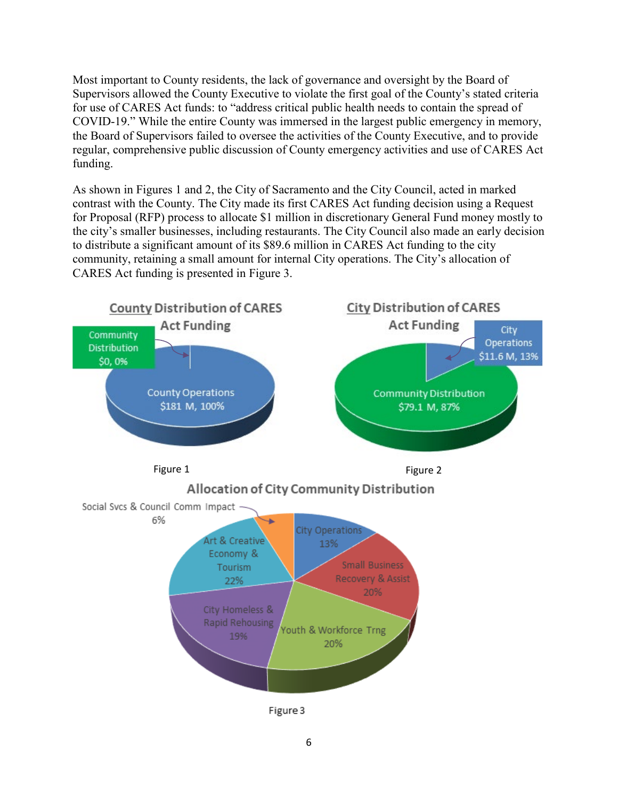Most important to County residents, the lack of governance and oversight by the Board of Supervisors allowed the County Executive to violate the first goal of the County's stated criteria for use of CARES Act funds: to "address critical public health needs to contain the spread of COVID-19." While the entire County was immersed in the largest public emergency in memory, the Board of Supervisors failed to oversee the activities of the County Executive, and to provide regular, comprehensive public discussion of County emergency activities and use of CARES Act funding.

As shown in Figures 1 and 2, the City of Sacramento and the City Council, acted in marked contrast with the County. The City made its first CARES Act funding decision using a Request for Proposal (RFP) process to allocate \$1 million in discretionary General Fund money mostly to the city's smaller businesses, including restaurants. The City Council also made an early decision to distribute a significant amount of its \$89.6 million in CARES Act funding to the city community, retaining a small amount for internal City operations. The City's allocation of CARES Act funding is presented in Figure 3.

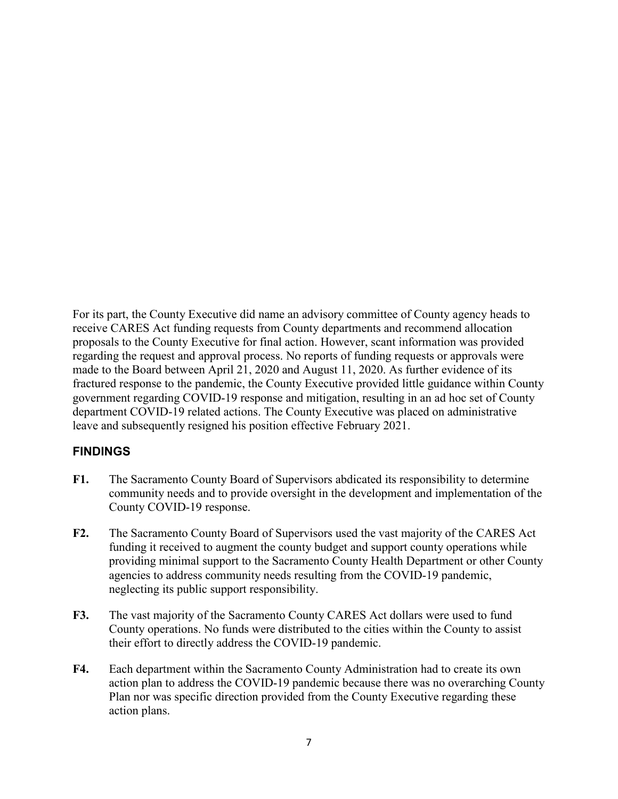For its part, the County Executive did name an advisory committee of County agency heads to receive CARES Act funding requests from County departments and recommend allocation proposals to the County Executive for final action. However, scant information was provided regarding the request and approval process. No reports of funding requests or approvals were made to the Board between April 21, 2020 and August 11, 2020. As further evidence of its fractured response to the pandemic, the County Executive provided little guidance within County government regarding COVID-19 response and mitigation, resulting in an ad hoc set of County department COVID-19 related actions. The County Executive was placed on administrative leave and subsequently resigned his position effective February 2021.

### **FINDINGS**

- **F1.** The Sacramento County Board of Supervisors abdicated its responsibility to determine community needs and to provide oversight in the development and implementation of the County COVID-19 response.
- **F2.** The Sacramento County Board of Supervisors used the vast majority of the CARES Act funding it received to augment the county budget and support county operations while providing minimal support to the Sacramento County Health Department or other County agencies to address community needs resulting from the COVID-19 pandemic, neglecting its public support responsibility.
- **F3.** The vast majority of the Sacramento County CARES Act dollars were used to fund County operations. No funds were distributed to the cities within the County to assist their effort to directly address the COVID-19 pandemic.
- **F4.** Each department within the Sacramento County Administration had to create its own action plan to address the COVID-19 pandemic because there was no overarching County Plan nor was specific direction provided from the County Executive regarding these action plans.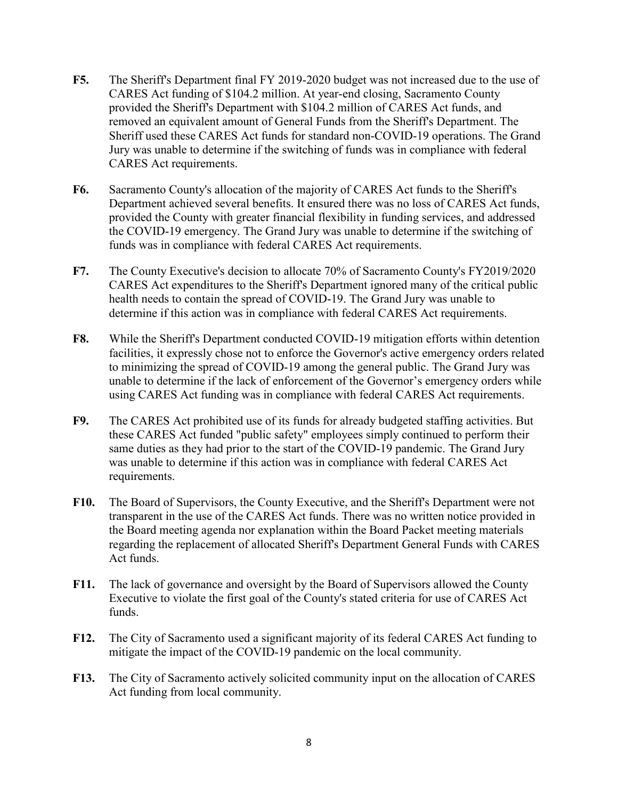- **F5.** The Sheriff's Department final FY 2019-2020 budget was not increased due to the use of CARES Act funding of \$104.2 million. At year-end closing, Sacramento County provided the Sheriff's Department with \$104.2 million of CARES Act funds, and removed an equivalent amount of General Funds from the Sheriff's Department. The Sheriff used these CARES Act funds for standard non-COVID-19 operations. The Grand Jury was unable to determine if the switching of funds was in compliance with federal CARES Act requirements.
- **F6.** Sacramento County's allocation of the majority of CARES Act funds to the Sheriff's Department achieved several benefits. It ensured there was no loss of CARES Act funds, provided the County with greater financial flexibility in funding services, and addressed the COVID-19 emergency. The Grand Jury was unable to determine if the switching of funds was in compliance with federal CARES Act requirements.
- **F7.** The County Executive's decision to allocate 70% of Sacramento County's FY2019/2020 CARES Act expenditures to the Sheriff's Department ignored many of the critical public health needs to contain the spread of COVID-19. The Grand Jury was unable to determine if this action was in compliance with federal CARES Act requirements.
- **F8.** While the Sheriff's Department conducted COVID-19 mitigation efforts within detention facilities, it expressly chose not to enforce the Governor's active emergency orders related to minimizing the spread of COVID-19 among the general public. The Grand Jury was unable to determine if the lack of enforcement of the Governor's emergency orders while using CARES Act funding was in compliance with federal CARES Act requirements.
- **F9.** The CARES Act prohibited use of its funds for already budgeted staffing activities. But these CARES Act funded "public safety" employees simply continued to perform their same duties as they had prior to the start of the COVID-19 pandemic. The Grand Jury was unable to determine if this action was in compliance with federal CARES Act requirements.
- F10. The Board of Supervisors, the County Executive, and the Sheriff's Department were not transparent in the use of the CARES Act funds. There was no written notice provided in the Board meeting agenda nor explanation within the Board Packet meeting materials regarding the replacement of allocated Sheriff's Department General Funds with CARES Act funds.
- **F11.** The lack of governance and oversight by the Board of Supervisors allowed the County Executive to violate the first goal of the County's stated criteria for use of CARES Act funds.
- **F12.** The City of Sacramento used a significant majority of its federal CARES Act funding to mitigate the impact of the COVID-19 pandemic on the local community.
- **F13.** The City of Sacramento actively solicited community input on the allocation of CARES Act funding from local community.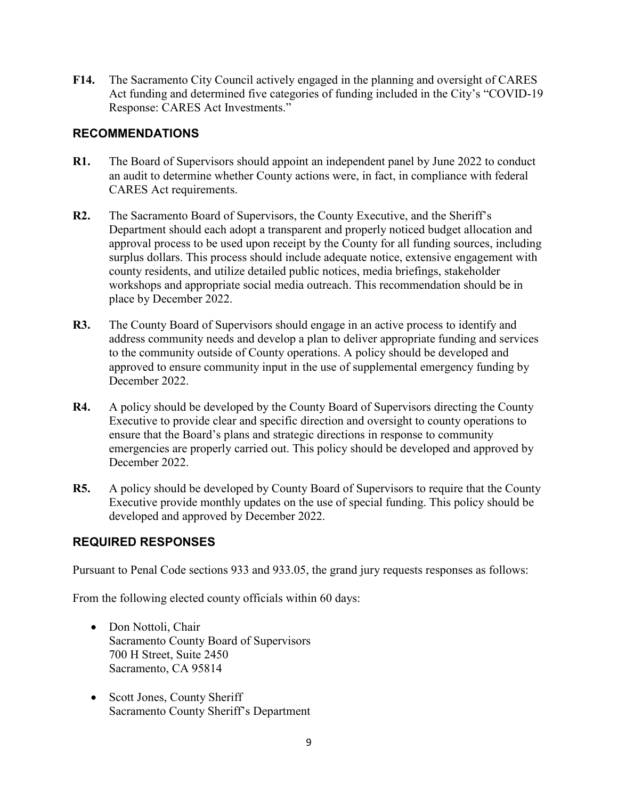**F14.** The Sacramento City Council actively engaged in the planning and oversight of CARES Act funding and determined five categories of funding included in the City's "COVID-19 Response: CARES Act Investments."

# **RECOMMENDATIONS**

- **R1.** The Board of Supervisors should appoint an independent panel by June 2022 to conduct an audit to determine whether County actions were, in fact, in compliance with federal CARES Act requirements.
- **R2.** The Sacramento Board of Supervisors, the County Executive, and the Sheriff's Department should each adopt a transparent and properly noticed budget allocation and approval process to be used upon receipt by the County for all funding sources, including surplus dollars. This process should include adequate notice, extensive engagement with county residents, and utilize detailed public notices, media briefings, stakeholder workshops and appropriate social media outreach. This recommendation should be in place by December 2022.
- **R3.** The County Board of Supervisors should engage in an active process to identify and address community needs and develop a plan to deliver appropriate funding and services to the community outside of County operations. A policy should be developed and approved to ensure community input in the use of supplemental emergency funding by December 2022.
- **R4.** A policy should be developed by the County Board of Supervisors directing the County Executive to provide clear and specific direction and oversight to county operations to ensure that the Board's plans and strategic directions in response to community emergencies are properly carried out. This policy should be developed and approved by December 2022.
- **R5.** A policy should be developed by County Board of Supervisors to require that the County Executive provide monthly updates on the use of special funding. This policy should be developed and approved by December 2022.

### **REQUIRED RESPONSES**

Pursuant to Penal Code sections 933 and 933.05, the grand jury requests responses as follows:

From the following elected county officials within 60 days:

- Don Nottoli, Chair Sacramento County Board of Supervisors 700 H Street, Suite 2450 Sacramento, CA 95814
- Scott Jones, County Sheriff Sacramento County Sheriff's Department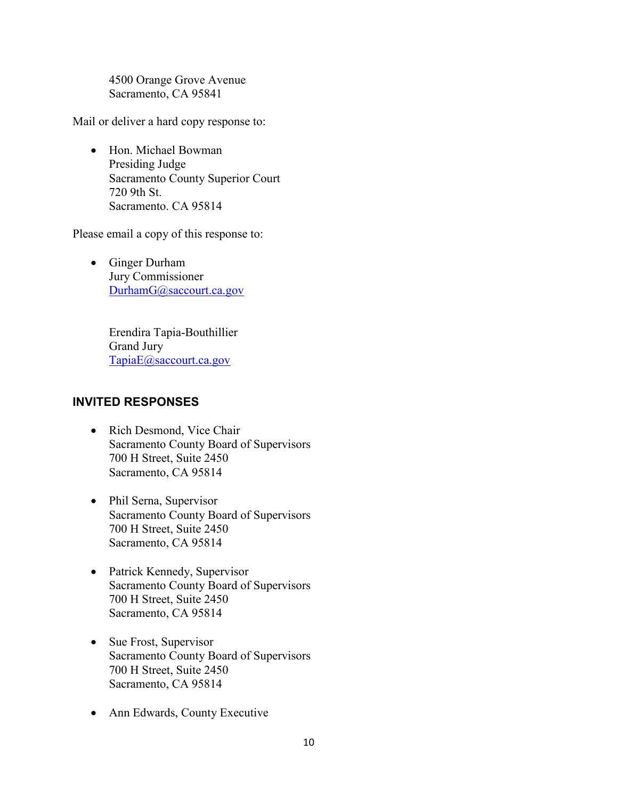4500 Orange Grove Avenue Sacramento, CA 95841

Mail or deliver a hard copy response to:

• Hon. Michael Bowman Presiding Judge Sacramento County Superior Court 720 9th St. Sacramento. CA 95814

Please email a copy of this response to:

• Ginger Durham Jury Commissioner [DurhamG@saccourt.ca.gov](mailto:DurhamG@saccourt.ca.gov)

> Erendira Tapia-Bouthillier Grand Jury [TapiaE@saccourt.ca.gov](mailto:TapiaE@saccourt.ca.gov)

### **INVITED RESPONSES**

- Rich Desmond, Vice Chair Sacramento County Board of Supervisors 700 H Street, Suite 2450 Sacramento, CA 95814
- Phil Serna, Supervisor Sacramento County Board of Supervisors 700 H Street, Suite 2450 Sacramento, CA 95814
- Patrick Kennedy, Supervisor Sacramento County Board of Supervisors 700 H Street, Suite 2450 Sacramento, CA 95814
- Sue Frost, Supervisor Sacramento County Board of Supervisors 700 H Street, Suite 2450 Sacramento, CA 95814
- Ann Edwards, County Executive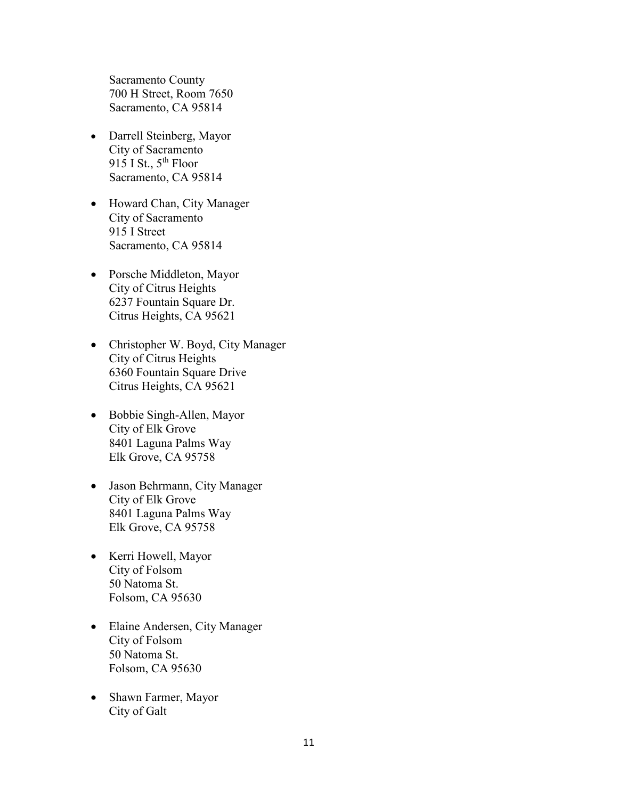Sacramento County 700 H Street, Room 7650 Sacramento, CA 95814

- Darrell Steinberg, Mayor City of Sacramento 915 I St.,  $5^{th}$  Floor Sacramento, CA 95814
- Howard Chan, City Manager City of Sacramento 915 I Street Sacramento, CA 95814
- Porsche Middleton, Mayor City of Citrus Heights 6237 Fountain Square Dr. Citrus Heights, CA 95621
- Christopher W. Boyd, City Manager City of Citrus Heights 6360 Fountain Square Drive Citrus Heights, CA 95621
- Bobbie Singh-Allen, Mayor City of Elk Grove 8401 Laguna Palms Way Elk Grove, CA 95758
- Jason Behrmann, City Manager City of Elk Grove 8401 Laguna Palms Way Elk Grove, CA 95758
- Kerri Howell, Mayor City of Folsom 50 Natoma St. Folsom, CA 95630
- Elaine Andersen, City Manager City of Folsom 50 Natoma St. Folsom, CA 95630
- Shawn Farmer, Mayor City of Galt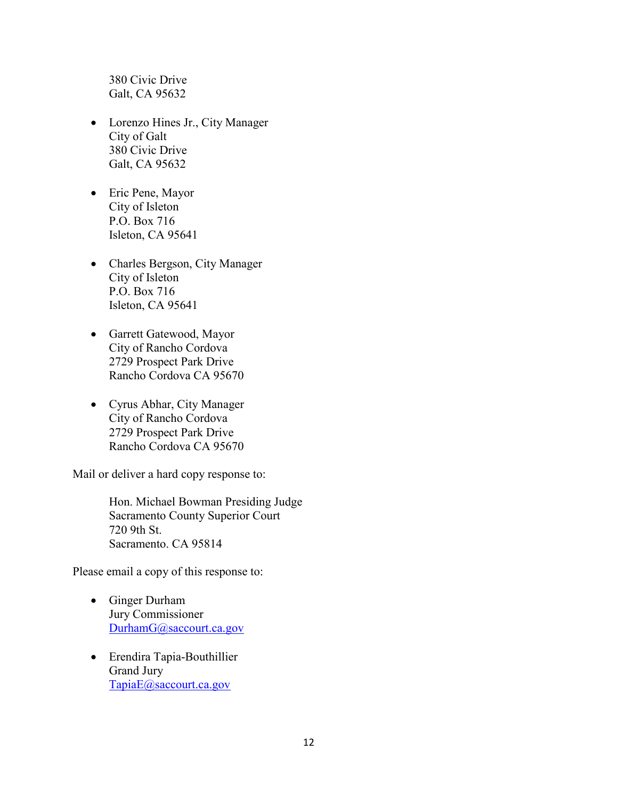380 Civic Drive Galt, CA 95632

- Lorenzo Hines Jr., City Manager City of Galt 380 Civic Drive Galt, CA 95632
- Eric Pene, Mayor City of Isleton P.O. Box 716 Isleton, CA 95641
- Charles Bergson, City Manager City of Isleton P.O. Box 716 Isleton, CA 95641
- Garrett Gatewood, Mayor City of Rancho Cordova 2729 Prospect Park Drive Rancho Cordova CA 95670
- Cyrus Abhar, City Manager City of Rancho Cordova 2729 Prospect Park Drive Rancho Cordova CA 95670

Mail or deliver a hard copy response to:

Hon. Michael Bowman Presiding Judge Sacramento County Superior Court 720 9th St. Sacramento. CA 95814

Please email a copy of this response to:

- Ginger Durham Jury Commissioner [DurhamG@saccourt.ca.gov](mailto:DurhamG@saccourt.ca.gov)
- Erendira Tapia-Bouthillier Grand Jury [TapiaE@saccourt.ca.gov](mailto:TapiaE@saccourt.ca.gov)